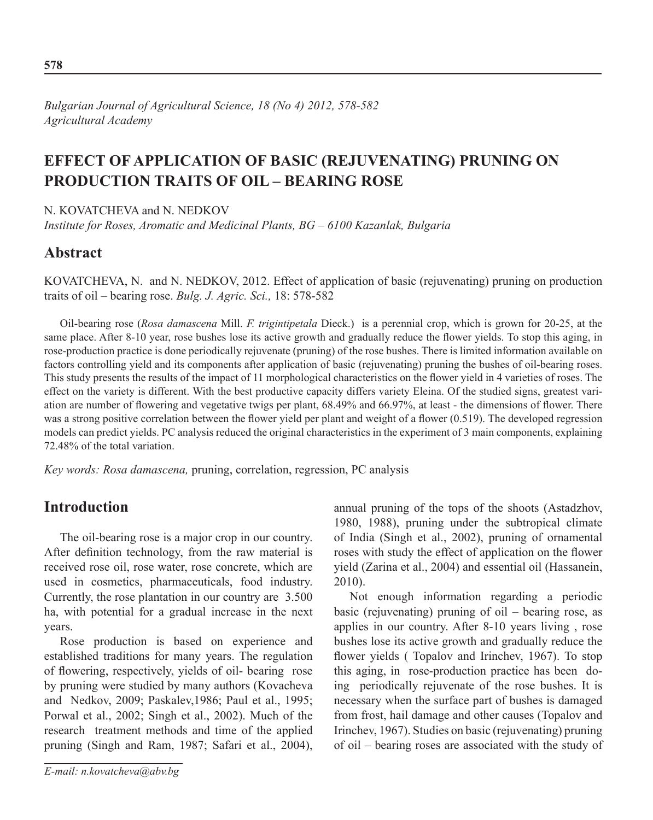*Bulgarian Journal of Agricultural Science, 18 (No 4) 2012, 578-582 Agricultural Academy*

# **Effect of application of basic (rejuvenating) pruning on production traits of oil – bearing rose**

N. KOVATCHEVA and N. NEDKOV

*Institute for Roses, Aromatic and Medicinal Plants, BG – 6100 Kazanlak, Bulgaria* 

## **Abstract**

KOVATCHEVA, N. and N. NEDKOV, 2012. Effect of application of basic (rejuvenating) pruning on production traits of oil – bearing rose. *Bulg. J. Agric. Sci.,* 18: 578-582

Oil-bearing rose (*Rosa damascena* Mill. *F. trigintipetala* Dieck.) is a perennial crop, which is grown for 20-25, at the same place. After 8-10 year, rose bushes lose its active growth and gradually reduce the flower yields. To stop this aging, in rose-production practice is done periodically rejuvenate (pruning) of the rose bushes. There is limited information available on factors controlling yield and its components after application of basic (rejuvenating) pruning the bushes of oil-bearing roses. This study presents the results of the impact of 11 morphological characteristics on the flower yield in 4 varieties of roses. The effect on the variety is different. With the best productive capacity differs variety Eleina. Of the studied signs, greatest variation are number of flowering and vegetative twigs per plant, 68.49% and 66.97%, at least - the dimensions of flower. There was a strong positive correlation between the flower yield per plant and weight of a flower (0.519). The developed regression models can predict yields. PC analysis reduced the original characteristics in the experiment of 3 main components, explaining 72.48% of the total variation.

*Key words: Rosa damascena,* pruning, correlation, regression, PC analysis

## **Introduction**

The oil-bearing rose is a major crop in our country. After definition technology, from the raw material is received rose oil, rose water, rose concrete, which are used in cosmetics, pharmaceuticals, food industry. Currently, the rose plantation in our country are 3.500 ha, with potential for a gradual increase in the next years.

Rose production is based on experience and established traditions for many years. The regulation of flowering, respectively, yields of oil- bearing rose by pruning were studied by many authors (Kovacheva and Nedkov, 2009; Paskalev,1986; Paul et al., 1995; Porwal et al., 2002; Singh et al., 2002). Much of the research treatment methods and time of the applied pruning (Singh and Ram, 1987; Safari еt al., 2004),

annual pruning of the tops of the shoots (Astadzhov, 1980, 1988), pruning under the subtropical climate of India (Singh et al., 2002), pruning of ornamental roses with study the effect of application on the flower yield (Zarina еt al., 2004) and essential oil (Hassanein, 2010).

Not enough information regarding a periodic basic (rejuvenating) pruning of oil – bearing rose, as applies in our country. After 8-10 years living , rose bushes lose its active growth and gradually reduce the flower yields ( Topalov and Irinchev, 1967). To stop this aging, in rose-production practice has been doing periodically rejuvenate of the rose bushes. It is necessary when the surface part of bushes is damaged from frost, hail damage and other causes (Topalov and Irinchev, 1967). Studies on basic (rejuvenating) pruning of oil – bearing roses are associated with the study of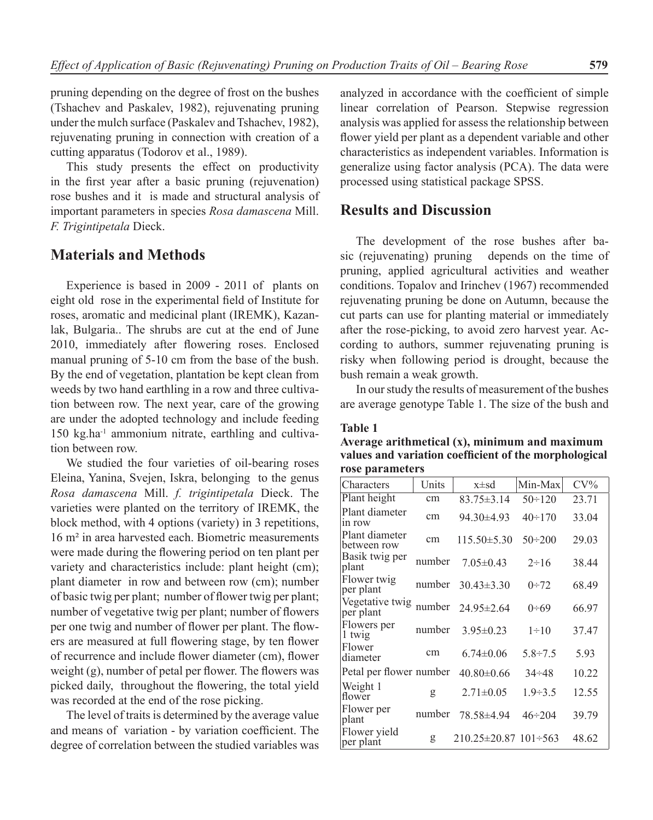pruning depending on the degree of frost on the bushes (Tshachev and Paskalev, 1982), rejuvenating pruning under the mulch surface (Paskalev and Tshachev, 1982), rejuvenating pruning in connection with creation of a cutting apparatus (Todorov еt al., 1989).

This study presents the effect on productivity in the first year after a basic pruning (rejuvenation) rose bushes and it is made and structural analysis of important parameters in species *Rosa damascena* Mill. *F. Trigintipetala* Dieck.

### **Materials and Methods**

Experience is based in 2009 - 2011 of plants on eight old rose in the experimental field of Institute for roses, aromatic and medicinal plant (IREMK), Kazanlak, Bulgaria.. The shrubs are cut at the end of June 2010, immediately after flowering roses. Enclosed manual pruning of 5-10 cm from the base of the bush. By the end of vegetation, plantation be kept clean from weeds by two hand earthling in a row and three cultivation between row. The next year, care of the growing are under the adopted technology and include feeding 150 kg.ha-1 ammonium nitrate, earthling and cultivation between row.

We studied the four varieties of oil-bearing roses Eleina, Yanina, Svejen, Iskra, belonging to the genus *Rosa damascena* Mill. *f. trigintipetala* Dieck. The varieties were planted on the territory of IREMK, the block method, with 4 options (variety) in 3 repetitions, 16 m² in area harvested each. Biometric measurements were made during the flowering period on ten plant per variety and characteristics include: plant height (cm); plant diameter in row and between row (cm); number of basic twig per plant; number of flower twig per plant; number of vegetative twig per plant; number of flowers per one twig and number of flower per plant. The flowers are measured at full flowering stage, by ten flower of recurrence and include flower diameter (cm), flower weight (g), number of petal per flower. The flowers was picked daily, throughout the flowering, the total yield was recorded at the end of the rose picking.

The level of traits is determined by the average value and means of variation - by variation coefficient. The degree of correlation between the studied variables was analyzed in accordance with the coefficient of simple linear correlation of Pearson. Stepwise regression analysis was applied for assess the relationship between flower yield per plant as a dependent variable and other characteristics as independent variables. Information is generalize using factor analysis (PCA). The data were processed using statistical package SPSS.

### **Results and Discussion**

The development of the rose bushes after basic (rejuvenating) pruning depends on the time of pruning, applied agricultural activities and weather conditions. Topalov and Irinchev (1967) recommended rejuvenating pruning be done on Autumn, because the cut parts can use for planting material or immediately after the rose-picking, to avoid zero harvest year. According to authors, summer rejuvenating pruning is risky when following period is drought, because the bush remain a weak growth.

In our study the results of measurement of the bushes are average genotype Table 1. The size of the bush and

#### **Table 1**

**Average arithmetical (x), minimum and maximum values and variation coefficient of the morphological rose parameters**

| Characters                    | Units  | $x \pm sd$                        | Min-Max        | $CV\%$ |
|-------------------------------|--------|-----------------------------------|----------------|--------|
| Plant height                  | cm     | $83.75 \pm 3.14$                  | $50 \div 120$  | 23.71  |
| Plant diameter<br>in row      | cm     | $94.30 \pm 4.93$                  | $40 \div 170$  | 33.04  |
| Plant diameter<br>between row | cm     | $115.50 \pm 5.30$                 | $50 \div 200$  | 29.03  |
| Basik twig per<br>plant       | number | $7.05 \pm 0.43$                   | $2 \div 16$    | 38.44  |
| Flower twig<br>per plant      | number | $30.43 \pm 3.30$                  | $0+72$         | 68.49  |
| Vegetative twig<br>per plant  | number | $24.95 \pm 2.64$                  | $0 - 69$       | 66.97  |
| Flowers per<br>1 twig         | number | $3.95 \pm 0.23$                   | $1 \div 10$    | 37.47  |
| Flower<br>diameter            | cm     | $6.74 \pm 0.06$                   | $5.8 \div 7.5$ | 5.93   |
| Petal per flower number       |        | $40.80 \pm 0.66$                  | $34 \div 48$   | 10.22  |
| Weight 1<br>flower            | g      | $2.71 \pm 0.05$                   | $1.9 - 3.5$    | 12.55  |
| Flower per<br>plant           | number | 78.58±4.94                        | $46 \div 204$  | 39.79  |
| Flower yield<br>per plant     | g      | $210.25 \pm 20.87$ 101 $\div 563$ |                | 48.62  |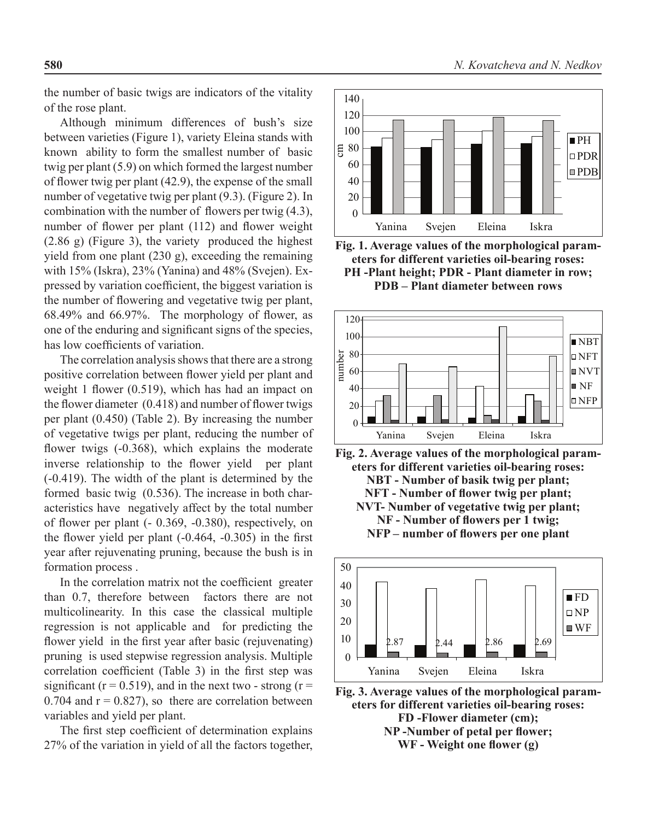the number of basic twigs are indicators of the vitality of the rose plant.

Although minimum differences of bush's size between varieties (Figure 1), variety Eleina stands with known ability to form the smallest number of basic twig per plant (5.9) on which formed the largest number of flower twig per plant (42.9), the expense of the small number of vegetative twig per plant (9.3). (Figure 2). In combination with the number of flowers per twig (4.3), number of flower per plant (112) and flower weight (2.86 g) (Figure 3), the variety produced the highest yield from one plant (230 g), exceeding the remaining with 15% (Iskra), 23% (Yanina) and 48% (Svejen). Expressed by variation coefficient, the biggest variation is the number of flowering and vegetative twig per plant, 68.49% and 66.97%. The morphology of flower, as one of the enduring and significant signs of the species, has low coefficients of variation.

The correlation analysis shows that there are a strong positive correlation between flower yield per plant and weight 1 flower (0.519), which has had an impact on the flower diameter (0.418) and number of flower twigs per plant (0.450) (Table 2). By increasing the number of vegetative twigs per plant, reducing the number of flower twigs (-0.368), which explains the moderate inverse relationship to the flower yield per plant (-0.419). The width of the plant is determined by the formed basic twig (0.536). The increase in both characteristics have negatively affect by the total number of flower per plant (- 0.369, -0.380), respectively, on the flower yield per plant (-0.464, -0.305) in the first year after rejuvenating pruning, because the bush is in formation process .

In the correlation matrix not the coefficient greater than 0.7, therefore between factors there are not multicolinearity. In this case the classical multiple regression is not applicable and for predicting the flower yield in the first year after basic (rejuvenating) pruning is used stepwise regression analysis. Multiple correlation coefficient (Table 3) in the first step was significant ( $r = 0.519$ ), and in the next two - strong ( $r =$ 0.704 and  $r = 0.827$ , so there are correlation between variables and yield per plant.

The first step coefficient of determination explains 27% of the variation in yield of all the factors together,



**Fig. 1. Average values of the morphological parameters for different varieties oil-bearing roses: PH -Plant height; PDR - Plant diameter in row; PDB – Plant diameter between rows**



**Fig. 2. Average values of the morphological parameters for different varieties oil-bearing roses: NBT - Number of basik twig per plant; NFT - Number of flower twig per plant; NVT- Number of vegetative twig per plant; NF - Number of flowers per 1 twig; NFP – number of flowers per one plant**



**Fig. 3. Average values of the morphological parameters for different varieties oil-bearing roses: FD -Flower diameter (cm); NP -Number of petal per flower; WF - Weight one flower (g)**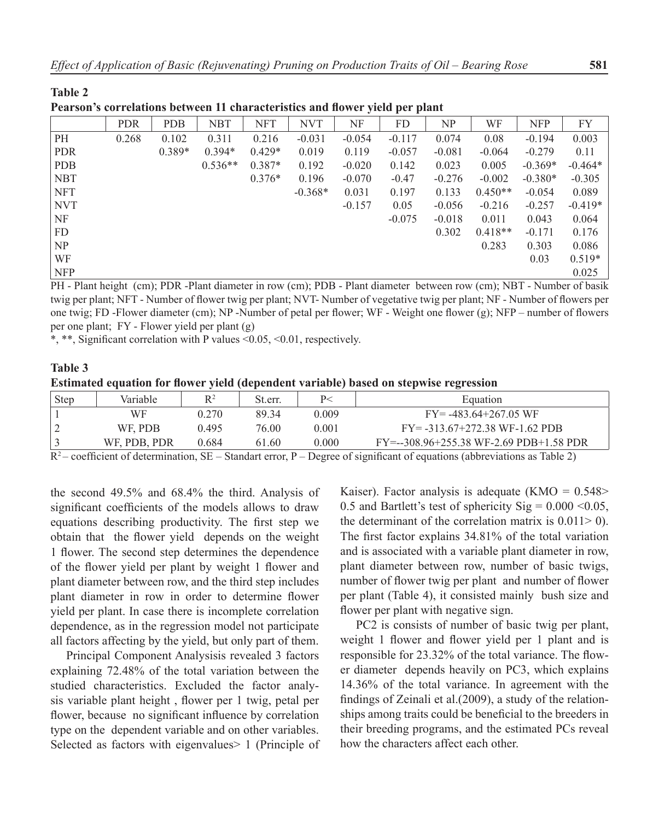| I carson s'eorrelations between 11 characteristics and hower yield per plant |            |            |            |            |            |          |          |          |           |            |           |
|------------------------------------------------------------------------------|------------|------------|------------|------------|------------|----------|----------|----------|-----------|------------|-----------|
|                                                                              | <b>PDR</b> | <b>PDB</b> | <b>NBT</b> | <b>NFT</b> | <b>NVT</b> | NF       | FD       | NP       | WF        | <b>NFP</b> | FY        |
| PH                                                                           | 0.268      | 0.102      | 0.311      | 0.216      | $-0.031$   | $-0.054$ | $-0.117$ | 0.074    | 0.08      | $-0.194$   | 0.003     |
| <b>PDR</b>                                                                   |            | $0.389*$   | $0.394*$   | $0.429*$   | 0.019      | 0.119    | $-0.057$ | $-0.081$ | $-0.064$  | $-0.279$   | 0.11      |
| <b>PDB</b>                                                                   |            |            | $0.536**$  | $0.387*$   | 0.192      | $-0.020$ | 0.142    | 0.023    | 0.005     | $-0.369*$  | $-0.464*$ |
| <b>NBT</b>                                                                   |            |            |            | $0.376*$   | 0.196      | $-0.070$ | $-0.47$  | $-0.276$ | $-0.002$  | $-0.380*$  | $-0.305$  |
| <b>NFT</b>                                                                   |            |            |            |            | $-0.368*$  | 0.031    | 0.197    | 0.133    | $0.450**$ | $-0.054$   | 0.089     |
| <b>NVT</b>                                                                   |            |            |            |            |            | $-0.157$ | 0.05     | $-0.056$ | $-0.216$  | $-0.257$   | $-0.419*$ |
| NF                                                                           |            |            |            |            |            |          | $-0.075$ | $-0.018$ | 0.011     | 0.043      | 0.064     |
| FD                                                                           |            |            |            |            |            |          |          | 0.302    | $0.418**$ | $-0.171$   | 0.176     |
| NP                                                                           |            |            |            |            |            |          |          |          | 0.283     | 0.303      | 0.086     |
| WF                                                                           |            |            |            |            |            |          |          |          |           | 0.03       | $0.519*$  |
| <b>NFP</b>                                                                   |            |            |            |            |            |          |          |          |           |            | 0.025     |

**Pearson's correlations between 11 characteristics and flower yield per plant**

**Table 2**

PH - Plant height (cm); PDR -Plant diameter in row (cm); PDB - Plant diameter between row (cm); NBT - Number of basik twig per plant; NFT - Number of flower twig per plant; NVT- Number of vegetative twig per plant; NF - Number of flowers per one twig; FD -Flower diameter (cm); NP -Number of petal per flower; WF - Weight one flower (g); NFP – number of flowers per one plant; FY - Flower yield per plant (g)

\*, \*\*, Significant correlation with P values <0.05, <0.01, respectively.

#### **Table 3 Еstimated equation for flower yield (dependent variable) based on stepwise regression**

| <b>Step</b> | Variable     | $R^2$ | St.err. |       | Equation                                 |
|-------------|--------------|-------|---------|-------|------------------------------------------|
|             | WF           | 0.270 | 89 34   | 0.009 | $FY = -483.64 + 267.05$ WF               |
|             | WF. PDB      | 0.495 | 76.00   | 0.001 | $FY = -313.67 + 272.38 WF - 1.62 PDB$    |
|             | WF, PDB, PDR | 0.684 | 61.60   | 0.000 | $FY=-308.96+255.38 WF-2.69 PDB+1.58 PDR$ |

 $R^2$  – coefficient of determination, SE – Standart error, P – Degree of significant of equations (abbreviations as Table 2)

the second 49.5% and 68.4% the third. Analysis of significant coefficients of the models allows to draw equations describing productivity. The first step we obtain that the flower yield depends on the weight 1 flower. The second step determines the dependence of the flower yield per plant by weight 1 flower and plant diameter between row, and the third step includes plant diameter in row in order to determine flower yield per plant. In case there is incomplete correlation dependence, as in the regression model not participate all factors affecting by the yield, but only part of them.

Principal Component Analysisis revealed 3 factors explaining 72.48% of the total variation between the studied characteristics. Excluded the factor analysis variable plant height , flower per 1 twig, petal per flower, because no significant influence by correlation type on the dependent variable and on other variables. Selected as factors with eigenvalues > 1 (Principle of

Kaiser). Factor analysis is adequate  $(KMO = 0.548$ 0.5 and Bartlett's test of sphericity Sig =  $0.000 \le 0.05$ , the determinant of the correlation matrix is  $0.011 > 0$ ). The first factor explains 34.81% of the total variation and is associated with a variable plant diameter in row, plant diameter between row, number of basic twigs, number of flower twig per plant and number of flower per plant (Table 4), it consisted mainly bush size and flower per plant with negative sign.

PC2 is consists of number of basic twig per plant, weight 1 flower and flower yield per 1 plant and is responsible for 23.32% of the total variance. The flower diameter depends heavily on PC3, which explains 14.36% of the total variance. In agreement with the findings of Zeinali еt al.(2009), a study of the relationships among traits could be beneficial to the breeders in their breeding programs, and the estimated PCs reveal how the characters affect each other.